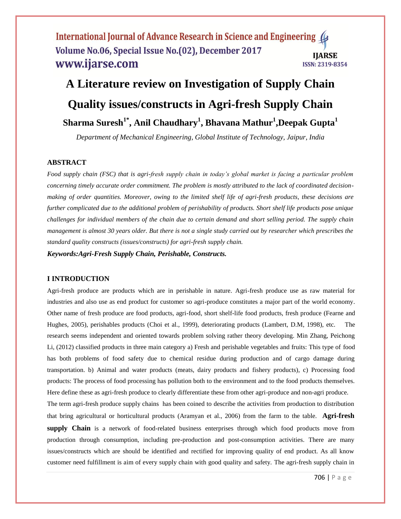# International Journal of Advance Research in Science and Engineering Volume No.06, Special Issue No.(02), December 2017 **IIARSE** www.ijarse.com **ISSN: 2319-8354**

# **A Literature review on Investigation of Supply Chain Quality issues/constructs in Agri-fresh Supply Chain Sharma Suresh1\* , Anil Chaudhary<sup>1</sup> , Bhavana Mathur<sup>1</sup> ,Deepak Gupta<sup>1</sup>**

*Department of Mechanical Engineering, Global Institute of Technology, Jaipur, India*

# **ABSTRACT**

*Food supply chain (FSC) that is agri-fresh supply chain in today's global market is facing a particular problem concerning timely accurate order commitment. The problem is mostly attributed to the lack of coordinated decisionmaking of order quantities. Moreover, owing to the limited shelf life of agri-fresh products, these decisions are further complicated due to the additional problem of perishability of products. Short shelf life products pose unique challenges for individual members of the chain due to certain demand and short selling period. The supply chain management is almost 30 years older. But there is not a single study carried out by researcher which prescribes the standard quality constructs (issues/constructs) for agri-fresh supply chain.*

*Keywords:Agri-Fresh Supply Chain, Perishable, Constructs.*

#### **I INTRODUCTION**

Agri-fresh produce are products which are in perishable in nature. Agri-fresh produce use as raw material for industries and also use as end product for customer so agri-produce constitutes a major part of the world economy. Other name of fresh produce are food products, agri-food, short shelf-life food products, fresh produce (Fearne and Hughes, 2005), perishables products (Choi et al., 1999), deteriorating products (Lambert, D.M, 1998), etc. The research seems independent and oriented towards problem solving rather theory developing. Min Zhang, Peichong Li, (2012) classified products in three main category a) Fresh and perishable vegetables and fruits: This type of food has both problems of food safety due to chemical residue during production and of cargo damage during transportation. b) Animal and water products (meats, dairy products and fishery products), c) Processing food products: The process of food processing has pollution both to the environment and to the food products themselves. Here define these as agri-fresh produce to clearly differentiate these from other agri-produce and non-agri produce.

The term agri-fresh produce supply chains has been coined to describe the activities from production to distribution that bring agricultural or horticultural products (Aramyan et al., 2006) from the farm to the table. **Agri-fresh**  supply Chain is a network of food-related business enterprises through which food products move from production through consumption, including pre-production and post-consumption activities. There are many issues/constructs which are should be identified and rectified for improving quality of end product. As all know customer need fulfillment is aim of every supply chain with good quality and safety. The agri-fresh supply chain in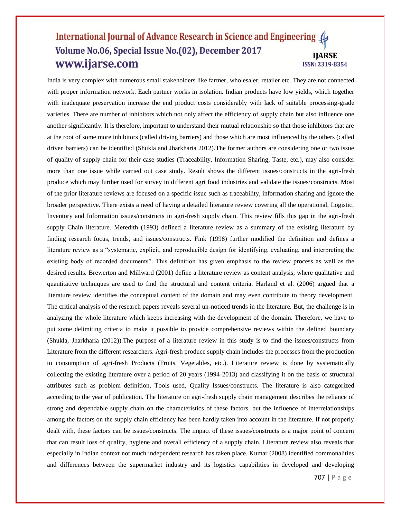# International Journal of Advance Research in Science and Engineering Volume No.06, Special Issue No.(02), December 2017 **IIARSE** www.ijarse.com **ISSN: 2319-8354**

India is very complex with numerous small stakeholders like farmer, wholesaler, retailer etc. They are not connected with proper information network. Each partner works in isolation. Indian products have low yields, which together with inadequate preservation increase the end product costs considerably with lack of suitable processing-grade varieties. There are number of inhibitors which not only affect the efficiency of supply chain but also influence one another significantly. It is therefore, important to understand their mutual relationship so that those inhibitors that are at the root of some more inhibitors (called driving barriers) and those which are most influenced by the others (called driven barriers) can be identified (Shukla and Jharkharia 2012).The former authors are considering one or two issue of quality of supply chain for their case studies (Traceability, Information Sharing, Taste, etc.), may also consider more than one issue while carried out case study. Result shows the different issues/constructs in the agri-fresh produce which may further used for survey in different agri food industries and validate the issues/constructs. Most of the prior literature reviews are focused on a specific issue such as traceability, information sharing and ignore the broader perspective. There exists a need of having a detailed literature review covering all the operational, Logistic, Inventory and Information issues/constructs in agri-fresh supply chain. This review fills this gap in the agri-fresh supply Chain literature. Meredith (1993) defined a literature review as a summary of the existing literature by finding research focus, trends, and issues/constructs. Fink (1998) further modified the definition and defines a literature review as a "systematic, explicit, and reproducible design for identifying, evaluating, and interpreting the existing body of recorded documents". This definition has given emphasis to the review process as well as the desired results. Brewerton and Millward (2001) define a literature review as content analysis, where qualitative and quantitative techniques are used to find the structural and content criteria. Harland et al. (2006) argued that a literature review identifies the conceptual content of the domain and may even contribute to theory development. The critical analysis of the research papers reveals several un-noticed trends in the literature. But, the challenge is in analyzing the whole literature which keeps increasing with the development of the domain. Therefore, we have to put some delimiting criteria to make it possible to provide comprehensive reviews within the defined boundary (Shukla, Jharkharia (2012)).The purpose of a literature review in this study is to find the issues/constructs from Literature from the different researchers. Agri-fresh produce supply chain includes the processes from the production to consumption of agri-fresh Products (Fruits, Vegetables, etc.). Literature review is done by systematically collecting the existing literature over a period of 20 years (1994-2013) and classifying it on the basis of structural attributes such as problem definition, Tools used, Quality Issues/constructs. The literature is also categorized according to the year of publication. The literature on agri-fresh supply chain management describes the reliance of strong and dependable supply chain on the characteristics of these factors, but the influence of interrelationships among the factors on the supply chain efficiency has been hardly taken into account in the literature. If not properly dealt with, these factors can be issues/constructs. The impact of these issues/constructs is a major point of concern that can result loss of quality, hygiene and overall efficiency of a supply chain. Literature review also reveals that especially in Indian context not much independent research has taken place. Kumar (2008) identified commonalities and differences between the supermarket industry and its logistics capabilities in developed and developing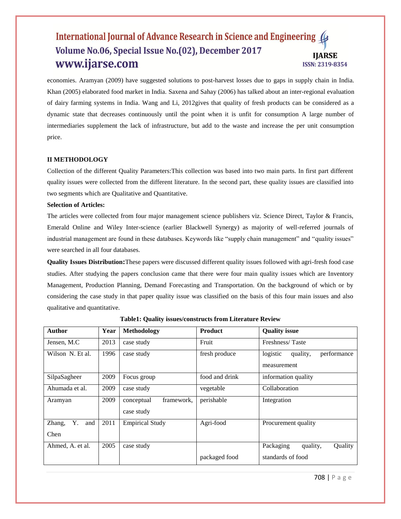# International Journal of Advance Research in Science and Engineering 4 Volume No.06, Special Issue No.(02), December 2017 **IIARSE** www.ijarse.com **ISSN: 2319-8354**

economies. Aramyan (2009) have suggested solutions to post-harvest losses due to gaps in supply chain in India. Khan (2005) elaborated food market in India. Saxena and Sahay (2006) has talked about an inter-regional evaluation of dairy farming systems in India. Wang and Li, 2012gives that quality of fresh products can be considered as a dynamic state that decreases continuously until the point when it is unfit for consumption A large number of intermediaries supplement the lack of infrastructure, but add to the waste and increase the per unit consumption price.

#### **II METHODOLOGY**

Collection of the different Quality Parameters:This collection was based into two main parts. In first part different quality issues were collected from the different literature. In the second part, these quality issues are classified into two segments which are Qualitative and Quantitative.

#### **Selection of Articles:**

The articles were collected from four major management science publishers viz. Science Direct, Taylor & Francis, Emerald Online and Wiley Inter-science (earlier Blackwell Synergy) as majority of well-referred journals of industrial management are found in these databases. Keywords like "supply chain management" and "quality issues" were searched in all four databases.

**Quality Issues Distribution:**These papers were discussed different quality issues followed with agri-fresh food case studies. After studying the papers conclusion came that there were four main quality issues which are Inventory Management, Production Planning, Demand Forecasting and Transportation. On the background of which or by considering the case study in that paper quality issue was classified on the basis of this four main issues and also qualitative and quantitative.

| <b>Author</b>       | Year | Methodology              | <b>Product</b> | <b>Quality issue</b>                |
|---------------------|------|--------------------------|----------------|-------------------------------------|
| Jensen, M.C         | 2013 | case study               | Fruit          | Freshness/Taste                     |
| Wilson N. Et al.    | 1996 | case study               | fresh produce  | logistic<br>performance<br>quality, |
|                     |      |                          |                | measurement                         |
| SilpaSagheer        | 2009 | Focus group              | food and drink | information quality                 |
| Ahumada et al.      | 2009 | case study               | vegetable      | Collaboration                       |
| Aramyan             | 2009 | framework,<br>conceptual | perishable     | Integration                         |
|                     |      | case study               |                |                                     |
| Y.<br>and<br>Zhang, | 2011 | <b>Empirical Study</b>   | Agri-food      | Procurement quality                 |
| Chen                |      |                          |                |                                     |
| Ahmed, A. et al.    | 2005 | case study               |                | Packaging<br>quality,<br>Quality    |
|                     |      |                          | packaged food  | standards of food                   |

**Table1: Quality issues/constructs from Literature Review**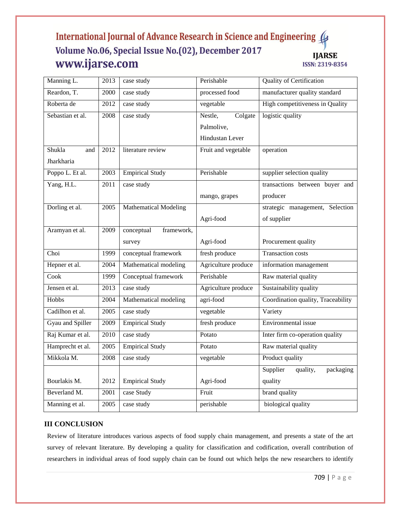# International Journal of Advance Research in Science and Engineering ( Volume No.06, Special Issue No.(02), December 2017 **IJARSE** www.ijarse.com ISSN: 2319-8354

| Manning L.       | 2013              | case study                   | Perishable          | <b>Quality of Certification</b>    |
|------------------|-------------------|------------------------------|---------------------|------------------------------------|
| Reardon, T.      | 2000              | case study                   | processed food      | manufacturer quality standard      |
| Roberta de       | 2012              | case study                   | vegetable           | High competitiveness in Quality    |
| Sebastian et al. | 2008              | case study                   | Nestle,<br>Colgate  | logistic quality                   |
|                  |                   |                              | Palmolive,          |                                    |
|                  |                   |                              | Hindustan Lever     |                                    |
| Shukla<br>and    | 2012              | literature review            | Fruit and vegetable | operation                          |
| Jharkharia       |                   |                              |                     |                                    |
| Poppo L. Et al.  | 2003              | <b>Empirical Study</b>       | Perishable          | supplier selection quality         |
| Yang, H.L.       | $\overline{2011}$ | case study                   |                     | transactions between buyer and     |
|                  |                   |                              | mango, grapes       | producer                           |
| Dorling et al.   | 2005              | <b>Mathematical Modeling</b> |                     | strategic management, Selection    |
|                  |                   |                              | Agri-food           | of supplier                        |
| Aramyan et al.   | 2009              | conceptual<br>framework,     |                     |                                    |
|                  |                   | survey                       | Agri-food           | Procurement quality                |
| Choi             | 1999              | conceptual framework         | fresh produce       | <b>Transaction costs</b>           |
| Hepner et al.    | 2004              | Mathematical modeling        | Agriculture produce | information management             |
| Cook             | 1999              | Conceptual framework         | Perishable          | Raw material quality               |
| Jensen et al.    | 2013              | case study                   | Agriculture produce | Sustainability quality             |
| Hobbs            | 2004              | Mathematical modeling        | agri-food           | Coordination quality, Traceability |
| Cadilhon et al.  | 2005              | case study                   | vegetable           | Variety                            |
| Gyau and Spiller | 2009              | <b>Empirical Study</b>       | fresh produce       | Environmental issue                |
| Raj Kumar et al. | 2010              | case study                   | Potato              | Inter firm co-operation quality    |
| Hamprecht et al. | 2005              | <b>Empirical Study</b>       | Potato              | Raw material quality               |
| Mikkola M.       | 2008              | case study                   | vegetable           | Product quality                    |
|                  |                   |                              |                     | Supplier<br>quality,<br>packaging  |
| Bourlakis M.     | 2012              | <b>Empirical Study</b>       | Agri-food           | quality                            |
| Beverland M.     | 2001              | case Study                   | Fruit               | brand quality                      |
| Manning et al.   | 2005              | case study                   | perishable          | biological quality                 |

# **III CONCLUSION**

Review of literature introduces various aspects of food supply chain management, and presents a state of the art survey of relevant literature. By developing a quality for classification and codification, overall contribution of researchers in individual areas of food supply chain can be found out which helps the new researchers to identify